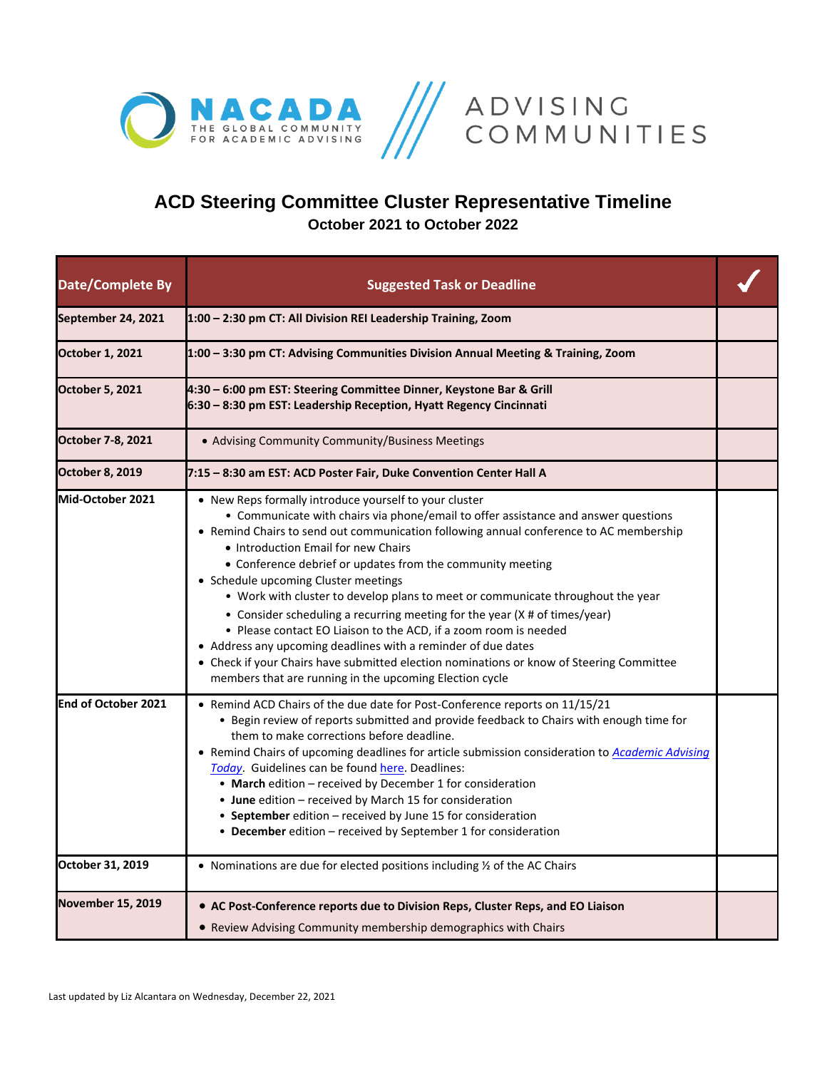



## **ACD Steering Committee Cluster Representative Timeline October 2021 to October 2022**

| <b>Date/Complete By</b>  | <b>Suggested Task or Deadline</b>                                                                                                                                                                                                                                                                                                                                                                                                                                                                                                                                                                                                                                                                                                                                                                                                                |  |
|--------------------------|--------------------------------------------------------------------------------------------------------------------------------------------------------------------------------------------------------------------------------------------------------------------------------------------------------------------------------------------------------------------------------------------------------------------------------------------------------------------------------------------------------------------------------------------------------------------------------------------------------------------------------------------------------------------------------------------------------------------------------------------------------------------------------------------------------------------------------------------------|--|
| September 24, 2021       | 1:00 - 2:30 pm CT: All Division REI Leadership Training, Zoom                                                                                                                                                                                                                                                                                                                                                                                                                                                                                                                                                                                                                                                                                                                                                                                    |  |
| October 1, 2021          | 1:00 - 3:30 pm CT: Advising Communities Division Annual Meeting & Training, Zoom                                                                                                                                                                                                                                                                                                                                                                                                                                                                                                                                                                                                                                                                                                                                                                 |  |
| <b>October 5, 2021</b>   | 4:30 - 6:00 pm EST: Steering Committee Dinner, Keystone Bar & Grill<br>6:30 - 8:30 pm EST: Leadership Reception, Hyatt Regency Cincinnati                                                                                                                                                                                                                                                                                                                                                                                                                                                                                                                                                                                                                                                                                                        |  |
| October 7-8, 2021        | • Advising Community Community/Business Meetings                                                                                                                                                                                                                                                                                                                                                                                                                                                                                                                                                                                                                                                                                                                                                                                                 |  |
| <b>October 8, 2019</b>   | 7:15 - 8:30 am EST: ACD Poster Fair, Duke Convention Center Hall A                                                                                                                                                                                                                                                                                                                                                                                                                                                                                                                                                                                                                                                                                                                                                                               |  |
| Mid-October 2021         | • New Reps formally introduce yourself to your cluster<br>• Communicate with chairs via phone/email to offer assistance and answer questions<br>• Remind Chairs to send out communication following annual conference to AC membership<br>• Introduction Email for new Chairs<br>• Conference debrief or updates from the community meeting<br>• Schedule upcoming Cluster meetings<br>• Work with cluster to develop plans to meet or communicate throughout the year<br>• Consider scheduling a recurring meeting for the year (X # of times/year)<br>• Please contact EO Liaison to the ACD, if a zoom room is needed<br>• Address any upcoming deadlines with a reminder of due dates<br>• Check if your Chairs have submitted election nominations or know of Steering Committee<br>members that are running in the upcoming Election cycle |  |
| End of October 2021      | • Remind ACD Chairs of the due date for Post-Conference reports on 11/15/21<br>• Begin review of reports submitted and provide feedback to Chairs with enough time for<br>them to make corrections before deadline.<br>• Remind Chairs of upcoming deadlines for article submission consideration to Academic Advising<br>Today. Guidelines can be found here. Deadlines:<br>• March edition - received by December 1 for consideration<br>• June edition - received by March 15 for consideration<br>• September edition - received by June 15 for consideration<br>• December edition - received by September 1 for consideration                                                                                                                                                                                                              |  |
| October 31, 2019         | • Nominations are due for elected positions including $\frac{1}{2}$ of the AC Chairs                                                                                                                                                                                                                                                                                                                                                                                                                                                                                                                                                                                                                                                                                                                                                             |  |
| <b>November 15, 2019</b> | • AC Post-Conference reports due to Division Reps, Cluster Reps, and EO Liaison<br>• Review Advising Community membership demographics with Chairs                                                                                                                                                                                                                                                                                                                                                                                                                                                                                                                                                                                                                                                                                               |  |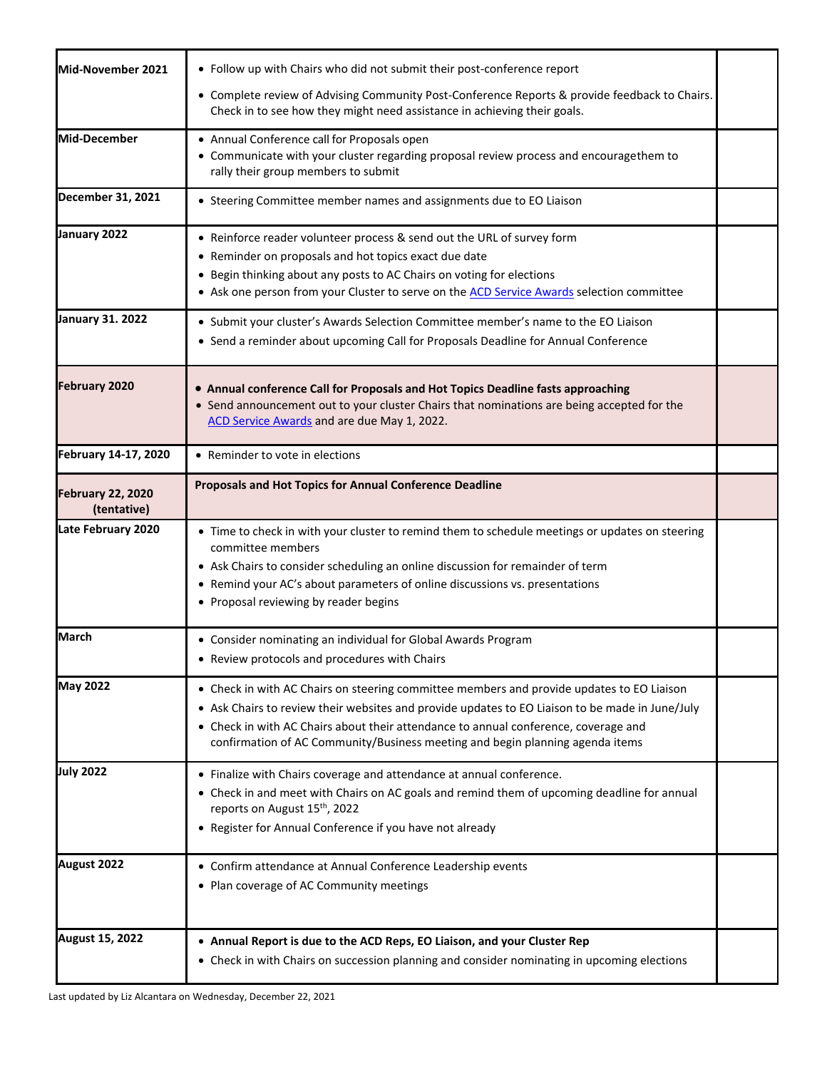| Mid-November 2021                       | • Follow up with Chairs who did not submit their post-conference report<br>• Complete review of Advising Community Post-Conference Reports & provide feedback to Chairs.<br>Check in to see how they might need assistance in achieving their goals.                                                                                                                 |  |
|-----------------------------------------|----------------------------------------------------------------------------------------------------------------------------------------------------------------------------------------------------------------------------------------------------------------------------------------------------------------------------------------------------------------------|--|
| Mid-December                            | • Annual Conference call for Proposals open<br>• Communicate with your cluster regarding proposal review process and encouragethem to<br>rally their group members to submit                                                                                                                                                                                         |  |
| December 31, 2021                       | • Steering Committee member names and assignments due to EO Liaison                                                                                                                                                                                                                                                                                                  |  |
| January 2022                            | • Reinforce reader volunteer process & send out the URL of survey form<br>• Reminder on proposals and hot topics exact due date<br>• Begin thinking about any posts to AC Chairs on voting for elections<br>• Ask one person from your Cluster to serve on the ACD Service Awards selection committee                                                                |  |
| <b>January 31. 2022</b>                 | • Submit your cluster's Awards Selection Committee member's name to the EO Liaison<br>• Send a reminder about upcoming Call for Proposals Deadline for Annual Conference                                                                                                                                                                                             |  |
| <b>February 2020</b>                    | • Annual conference Call for Proposals and Hot Topics Deadline fasts approaching<br>• Send announcement out to your cluster Chairs that nominations are being accepted for the<br>ACD Service Awards and are due May 1, 2022.                                                                                                                                        |  |
| February 14-17, 2020                    | • Reminder to vote in elections                                                                                                                                                                                                                                                                                                                                      |  |
| <b>February 22, 2020</b><br>(tentative) | Proposals and Hot Topics for Annual Conference Deadline                                                                                                                                                                                                                                                                                                              |  |
| Late February 2020                      | • Time to check in with your cluster to remind them to schedule meetings or updates on steering<br>committee members<br>• Ask Chairs to consider scheduling an online discussion for remainder of term<br>• Remind your AC's about parameters of online discussions vs. presentations<br>• Proposal reviewing by reader begins                                       |  |
| <b>March</b>                            | • Consider nominating an individual for Global Awards Program<br>• Review protocols and procedures with Chairs                                                                                                                                                                                                                                                       |  |
| <b>May 2022</b>                         | • Check in with AC Chairs on steering committee members and provide updates to EO Liaison<br>• Ask Chairs to review their websites and provide updates to EO Liaison to be made in June/July<br>• Check in with AC Chairs about their attendance to annual conference, coverage and<br>confirmation of AC Community/Business meeting and begin planning agenda items |  |
| <b>July 2022</b>                        | • Finalize with Chairs coverage and attendance at annual conference.<br>• Check in and meet with Chairs on AC goals and remind them of upcoming deadline for annual<br>reports on August 15th, 2022<br>• Register for Annual Conference if you have not already                                                                                                      |  |
| August 2022                             | • Confirm attendance at Annual Conference Leadership events<br>• Plan coverage of AC Community meetings                                                                                                                                                                                                                                                              |  |
| <b>August 15, 2022</b>                  | • Annual Report is due to the ACD Reps, EO Liaison, and your Cluster Rep<br>• Check in with Chairs on succession planning and consider nominating in upcoming elections                                                                                                                                                                                              |  |